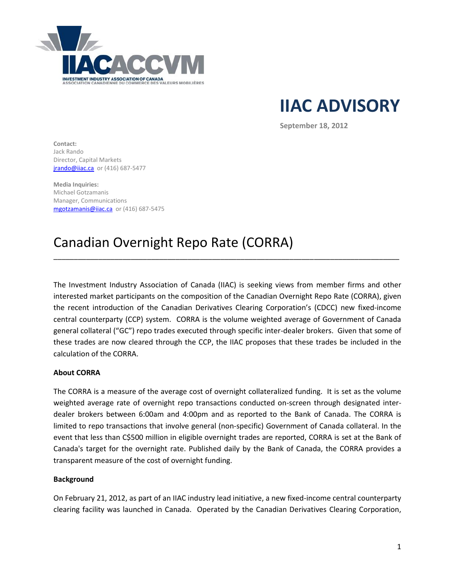

**IIAC ADVISORY**

**September 18, 2012**

**Contact:**  Jack Rando Director, Capital Markets **jrando@iiac.ca** or (416) 687-5477

**Media Inquiries:**  Michael Gotzamanis Manager, Communications [mgotzamanis@iiac.ca](mailto:mgotzamanis@iiac.ca) or (416) 687-5475

# Canadian Overnight Repo Rate (CORRA)

The Investment Industry Association of Canada (IIAC) is seeking views from member firms and other interested market participants on the composition of the Canadian Overnight Repo Rate (CORRA), given the recent introduction of the Canadian Derivatives Clearing Corporation's (CDCC) new fixed-income central counterparty (CCP) system. CORRA is the volume weighted average of Government of Canada general collateral ("GC") repo trades executed through specific inter-dealer brokers. Given that some of these trades are now cleared through the CCP, the IIAC proposes that these trades be included in the calculation of the CORRA.

\_\_\_\_\_\_\_\_\_\_\_\_\_\_\_\_\_\_\_\_\_\_\_\_\_\_\_\_\_\_\_\_\_\_\_\_\_\_\_\_\_\_\_\_\_\_\_\_\_\_\_\_\_\_\_\_\_\_\_\_\_\_\_\_\_\_\_\_\_\_\_\_\_\_\_\_\_\_\_\_\_\_\_\_\_

# **About CORRA**

The CORRA is a measure of the average cost of overnight collateralized funding. It is set as the volume weighted average rate of overnight repo transactions conducted on-screen through designated interdealer brokers between 6:00am and 4:00pm and as reported to the Bank of Canada. The CORRA is limited to repo transactions that involve general (non-specific) Government of Canada collateral. In the event that less than C\$500 million in eligible overnight trades are reported, CORRA is set at the Bank of Canada's target for the overnight rate. Published daily by the Bank of Canada, the CORRA provides a transparent measure of the cost of overnight funding.

### **Background**

On February 21, 2012, as part of an IIAC industry lead initiative, a new fixed-income central counterparty clearing facility was launched in Canada. Operated by the Canadian Derivatives Clearing Corporation,